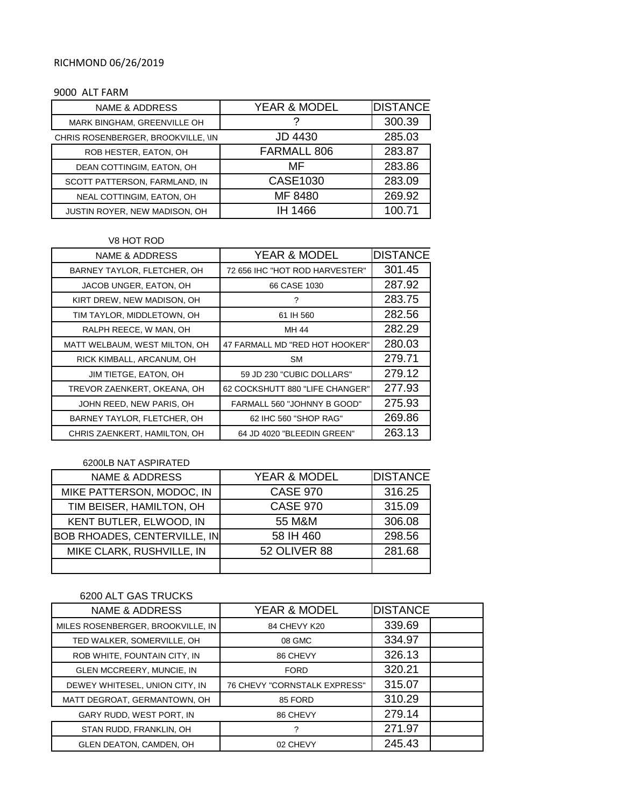## RICHMOND 06/26/2019

#### 9000 ALT FARM

| <b>NAME &amp; ADDRESS</b>            | <b>YEAR &amp; MODEL</b> | <b>DISTANCE</b> |
|--------------------------------------|-------------------------|-----------------|
| MARK BINGHAM, GREENVILLE OH          |                         | 300.39          |
| CHRIS ROSENBERGER, BROOKVILLE, \IN   | <b>JD 4430</b>          | 285.03          |
| ROB HESTER, EATON, OH                | FARMALL 806             | 283.87          |
| DEAN COTTINGIM, EATON, OH            | MF                      | 283.86          |
| SCOTT PATTERSON, FARMLAND, IN        | CASE1030                | 283.09          |
| NEAL COTTINGIM, EATON, OH            | MF 8480                 | 269.92          |
| <b>JUSTIN ROYER, NEW MADISON, OH</b> | IH 1466                 | 100.71          |

#### V8 HOT ROD

| NAME & ADDRESS                | <b>YEAR &amp; MODEL</b>         | <b>DISTANCE</b> |
|-------------------------------|---------------------------------|-----------------|
| BARNEY TAYLOR, FLETCHER, OH   | 72 656 IHC "HOT ROD HARVESTER"  | 301.45          |
| JACOB UNGER, EATON, OH        | 66 CASE 1030                    | 287.92          |
| KIRT DREW, NEW MADISON, OH    | ?                               | 283.75          |
| TIM TAYLOR, MIDDLETOWN, OH    | 61 IH 560                       | 282.56          |
| RALPH REECE, W MAN, OH        | MH 44                           | 282.29          |
| MATT WELBAUM, WEST MILTON, OH | 47 FARMALL MD "RED HOT HOOKER"  | 280.03          |
| RICK KIMBALL, ARCANUM, OH     | <b>SM</b>                       | 279.71          |
| JIM TIETGE, EATON, OH         | 59 JD 230 "CUBIC DOLLARS"       | 279.12          |
| TREVOR ZAENKERT, OKEANA, OH   | 62 COCKSHUTT 880 "LIFE CHANGER" | 277.93          |
| JOHN REED, NEW PARIS, OH      | FARMALL 560 "JOHNNY B GOOD"     | 275.93          |
| BARNEY TAYLOR, FLETCHER, OH   | 62 IHC 560 "SHOP RAG"           | 269.86          |
| CHRIS ZAENKERT, HAMILTON, OH  | 64 JD 4020 "BLEEDIN GREEN"      | 263.13          |

## 6200LB NAT ASPIRATED

| <b>NAME &amp; ADDRESS</b>           | YEAR & MODEL    | <b>DISTANCE</b> |
|-------------------------------------|-----------------|-----------------|
| MIKE PATTERSON, MODOC, IN           | <b>CASE 970</b> | 316.25          |
| TIM BEISER, HAMILTON, OH            | <b>CASE 970</b> | 315.09          |
| KENT BUTLER, ELWOOD, IN             | 55 M&M          | 306.08          |
| <b>BOB RHOADES, CENTERVILLE, IN</b> | 58 IH 460       | 298.56          |
| MIKE CLARK, RUSHVILLE, IN           | 52 OLIVER 88    | 281.68          |
|                                     |                 |                 |

# 6200 ALT GAS TRUCKS

| <b>NAME &amp; ADDRESS</b>         | <b>YEAR &amp; MODEL</b>      | <b>DISTANCE</b> |  |
|-----------------------------------|------------------------------|-----------------|--|
| MILES ROSENBERGER, BROOKVILLE, IN | 84 CHEVY K20                 | 339.69          |  |
| TED WALKER, SOMERVILLE, OH        | 08 GMC                       | 334.97          |  |
| ROB WHITE, FOUNTAIN CITY, IN      | 86 CHEVY                     | 326.13          |  |
| GLEN MCCREERY, MUNCIE, IN         | <b>FORD</b>                  | 320.21          |  |
| DEWEY WHITESEL, UNION CITY, IN    | 76 CHEVY "CORNSTALK EXPRESS" | 315.07          |  |
| MATT DEGROAT, GERMANTOWN, OH      | 85 FORD                      | 310.29          |  |
| GARY RUDD, WEST PORT, IN          | 86 CHEVY                     | 279.14          |  |
| STAN RUDD, FRANKLIN, OH           | 2                            | 271.97          |  |
| <b>GLEN DEATON, CAMDEN, OH</b>    | 02 CHEVY                     | 245.43          |  |